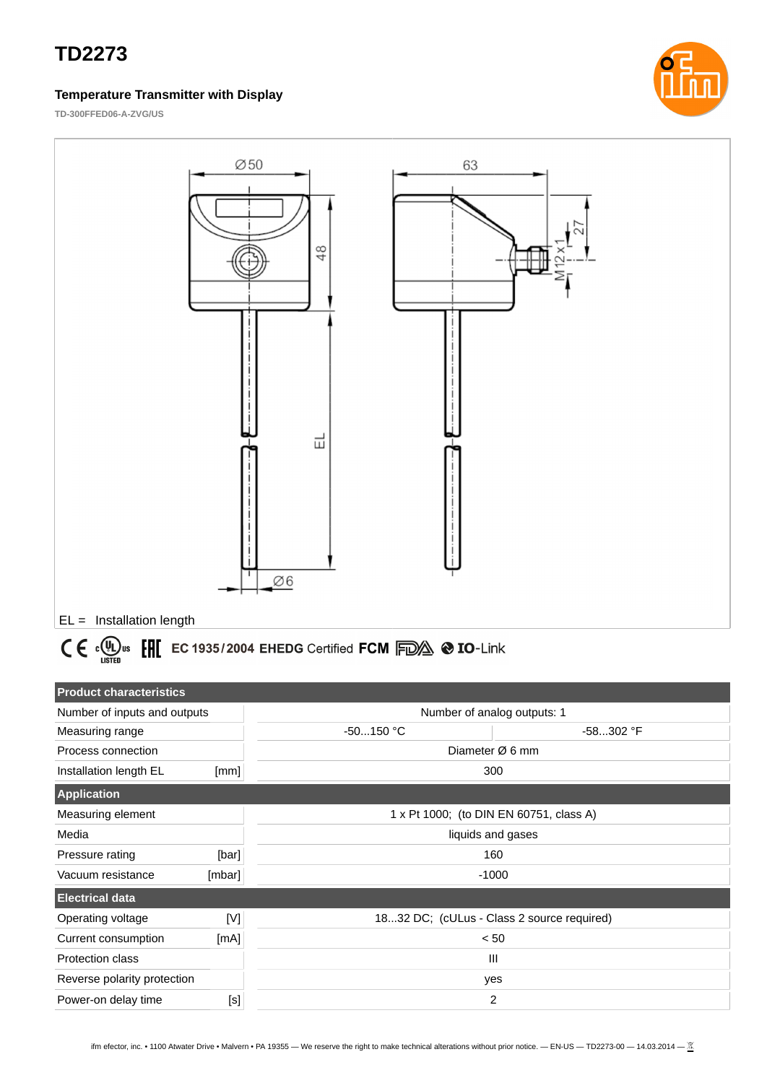## **TD2273**

#### **Temperature Transmitter with Display**



**TD-300FFED06-A-ZVG/US**



# $C \in \Omega$ <sub>Listed</sub> EXPLEC 1935/2004 EHEDG Certified FCM FOX  $\otimes$  IO-Link

| <b>Product characteristics</b> |        |                                         |                                            |  |
|--------------------------------|--------|-----------------------------------------|--------------------------------------------|--|
| Number of inputs and outputs   |        | Number of analog outputs: 1             |                                            |  |
| Measuring range                |        | $-50150$ °C                             | -58302 °F                                  |  |
| Process connection             |        | Diameter $\varnothing$ 6 mm             |                                            |  |
| Installation length EL         | [mm]   | 300                                     |                                            |  |
| <b>Application</b>             |        |                                         |                                            |  |
| Measuring element              |        | 1 x Pt 1000; (to DIN EN 60751, class A) |                                            |  |
| Media                          |        | liquids and gases                       |                                            |  |
| Pressure rating                | [bar]  | 160                                     |                                            |  |
| Vacuum resistance              | [mbar] | $-1000$                                 |                                            |  |
| <b>Electrical data</b>         |        |                                         |                                            |  |
| Operating voltage              | [V]    |                                         | 1832 DC; (cULus - Class 2 source required) |  |
| Current consumption            | [mA]   | < 50                                    |                                            |  |
| <b>Protection class</b>        |        | Ш                                       |                                            |  |
| Reverse polarity protection    |        | yes                                     |                                            |  |
| Power-on delay time            | [s]    | 2                                       |                                            |  |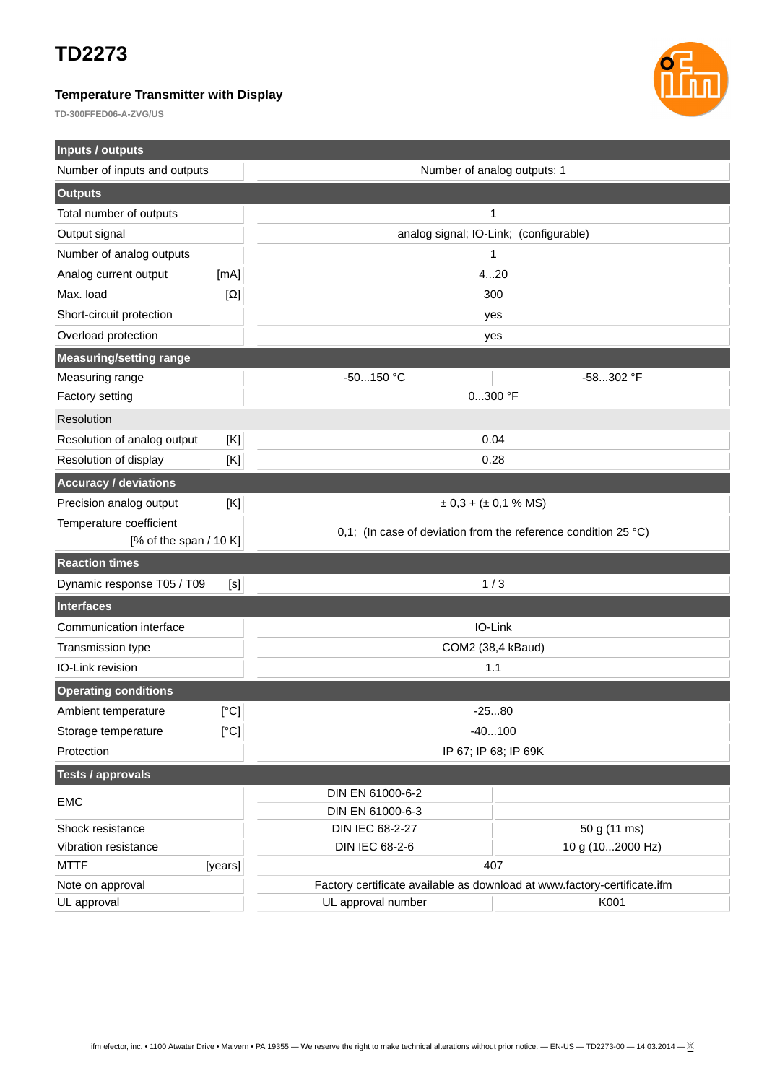### **TD2273**

#### **Temperature Transmitter with Display**

**TD-300FFED06-A-ZVG/US**



| <b>Inputs / outputs</b>        |            |                                                                          |                                                                          |  |
|--------------------------------|------------|--------------------------------------------------------------------------|--------------------------------------------------------------------------|--|
| Number of inputs and outputs   |            | Number of analog outputs: 1                                              |                                                                          |  |
| <b>Outputs</b>                 |            |                                                                          |                                                                          |  |
| Total number of outputs        |            | 1                                                                        |                                                                          |  |
| Output signal                  |            |                                                                          | analog signal; IO-Link; (configurable)                                   |  |
| Number of analog outputs       |            | 1                                                                        |                                                                          |  |
| Analog current output          | [mA]       | 420                                                                      |                                                                          |  |
| Max. load                      | $[\Omega]$ | 300                                                                      |                                                                          |  |
| Short-circuit protection       |            | yes                                                                      |                                                                          |  |
| Overload protection            |            | yes                                                                      |                                                                          |  |
| <b>Measuring/setting range</b> |            |                                                                          |                                                                          |  |
| Measuring range                |            | $-50150$ °C                                                              | -58302 °F                                                                |  |
| Factory setting                |            | $0300$ °F                                                                |                                                                          |  |
| Resolution                     |            |                                                                          |                                                                          |  |
| Resolution of analog output    | [K]        | 0.04                                                                     |                                                                          |  |
| Resolution of display          | [K]        | 0.28                                                                     |                                                                          |  |
| <b>Accuracy / deviations</b>   |            |                                                                          |                                                                          |  |
| Precision analog output        | [K]        | $\pm$ 0,3 + ( $\pm$ 0,1 % MS)                                            |                                                                          |  |
| Temperature coefficient        |            |                                                                          |                                                                          |  |
| [% of the span $/$ 10 K]       |            | 0,1; (In case of deviation from the reference condition 25 $^{\circ}$ C) |                                                                          |  |
| <b>Reaction times</b>          |            |                                                                          |                                                                          |  |
| Dynamic response T05 / T09     | [s]        | 1/3                                                                      |                                                                          |  |
| <b>Interfaces</b>              |            |                                                                          |                                                                          |  |
| Communication interface        |            | IO-Link                                                                  |                                                                          |  |
| Transmission type              |            | COM2 (38,4 kBaud)                                                        |                                                                          |  |
| IO-Link revision               |            | 1.1                                                                      |                                                                          |  |
| <b>Operating conditions</b>    |            |                                                                          |                                                                          |  |
| Ambient temperature            | [°C]       | $-2580$                                                                  |                                                                          |  |
| Storage temperature            | [°C]       | $-40100$                                                                 |                                                                          |  |
| Protection                     |            | IP 67; IP 68; IP 69K                                                     |                                                                          |  |
| <b>Tests / approvals</b>       |            |                                                                          |                                                                          |  |
| <b>EMC</b>                     |            | DIN EN 61000-6-2                                                         |                                                                          |  |
|                                |            | DIN EN 61000-6-3                                                         |                                                                          |  |
| Shock resistance               |            | DIN IEC 68-2-27                                                          | 50 g (11 ms)                                                             |  |
| Vibration resistance           |            | <b>DIN IEC 68-2-6</b>                                                    | 10 g (102000 Hz)                                                         |  |
| <b>MTTF</b>                    | [years]    | 407                                                                      |                                                                          |  |
| Note on approval               |            |                                                                          | Factory certificate available as download at www.factory-certificate.ifm |  |
| UL approval                    |            | UL approval number                                                       | K001                                                                     |  |